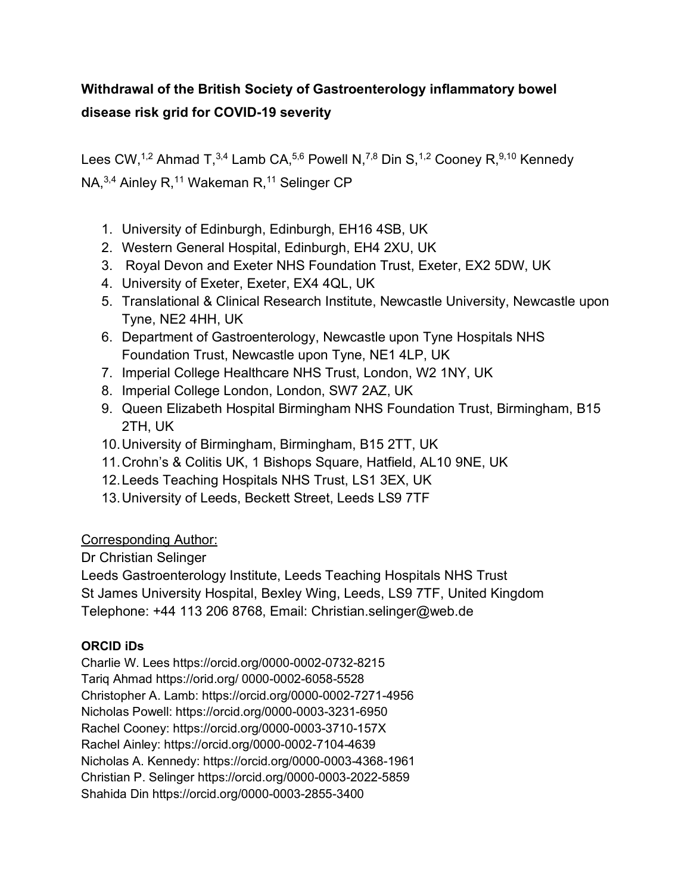## **Withdrawal of the British Society of Gastroenterology inflammatory bowel disease risk grid for COVID-19 severity**

Lees CW,<sup>1,2</sup> Ahmad T,<sup>3,4</sup> Lamb CA,<sup>5,6</sup> Powell N,<sup>7,8</sup> Din S,<sup>1,2</sup> Cooney R,<sup>9,10</sup> Kennedy NA,<sup>3,4</sup> Ainley R,<sup>11</sup> Wakeman R,<sup>11</sup> Selinger CP

- 1. University of Edinburgh, Edinburgh, EH16 4SB, UK
- 2. Western General Hospital, Edinburgh, EH4 2XU, UK
- 3. Royal Devon and Exeter NHS Foundation Trust, Exeter, EX2 5DW, UK
- 4. University of Exeter, Exeter, EX4 4QL, UK
- 5. Translational & Clinical Research Institute, Newcastle University, Newcastle upon Tyne, NE2 4HH, UK
- 6. Department of Gastroenterology, Newcastle upon Tyne Hospitals NHS Foundation Trust, Newcastle upon Tyne, NE1 4LP, UK
- 7. Imperial College Healthcare NHS Trust, London, W2 1NY, UK
- 8. Imperial College London, London, SW7 2AZ, UK
- 9. Queen Elizabeth Hospital Birmingham NHS Foundation Trust, Birmingham, B15 2TH, UK
- 10.University of Birmingham, Birmingham, B15 2TT, UK
- 11.Crohn's & Colitis UK, 1 Bishops Square, Hatfield, AL10 9NE, UK
- 12.Leeds Teaching Hospitals NHS Trust, LS1 3EX, UK
- 13.University of Leeds, Beckett Street, Leeds LS9 7TF

Corresponding Author:

Dr Christian Selinger

Leeds Gastroenterology Institute, Leeds Teaching Hospitals NHS Trust St James University Hospital, Bexley Wing, Leeds, LS9 7TF, United Kingdom Telephone: +44 113 206 8768, Email: Christian.selinger@web.de

## **ORCID iDs**

Charlie W. Lees https://orcid.org/0000-0002-0732-8215 Tariq Ahmad https://orid.org/ 0000-0002-6058-5528 Christopher A. Lamb: https://orcid.org/0000-0002-7271-4956 Nicholas Powell: https://orcid.org/0000-0003-3231-6950 Rachel Cooney: https://orcid.org/0000-0003-3710-157X Rachel Ainley: https://orcid.org/0000-0002-7104-4639 Nicholas A. Kennedy: https://orcid.org/0000-0003-4368-1961 Christian P. Selinger<https://orcid.org/0000-0003-2022-5859> Shahida Din https://orcid.org/0000-0003-2855-3400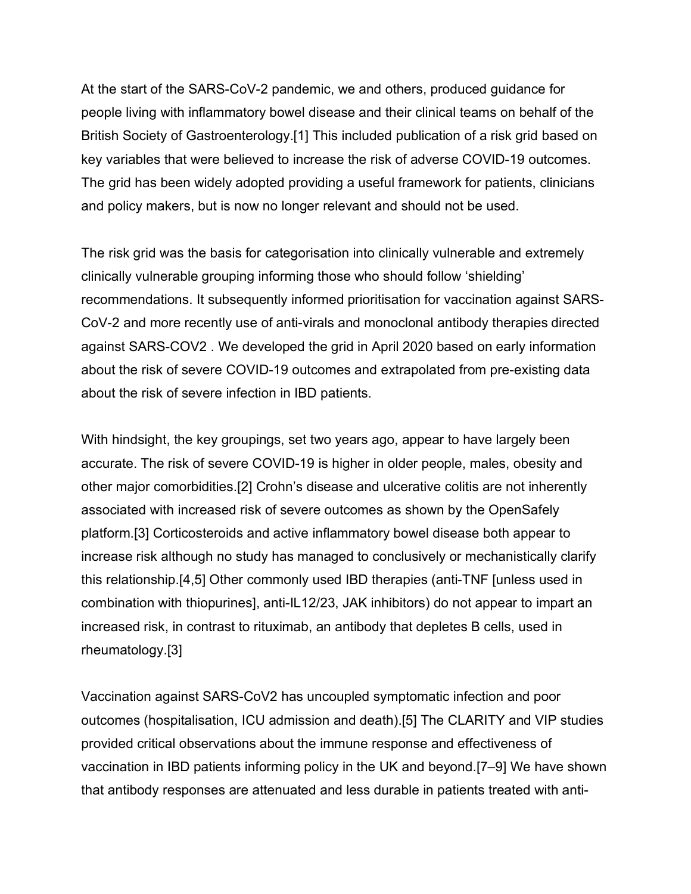At the start of the SARS-CoV-2 pandemic, we and others, produced guidance for people living with inflammatory bowel disease and their clinical teams on behalf of the British Society of Gastroenterology[.\[1\]](https://paperpile.com/c/6Z4DPb/hGed) This included publication of a risk grid based on key variables that were believed to increase the risk of adverse COVID-19 outcomes. The grid has been widely adopted providing a useful framework for patients, clinicians and policy makers, but is now no longer relevant and should not be used.

The risk grid was the basis for categorisation into clinically vulnerable and extremely clinically vulnerable grouping informing those who should follow 'shielding' recommendations. It subsequently informed prioritisation for vaccination against SARS-CoV-2 and more recently use of anti-virals and monoclonal antibody therapies directed against SARS-COV2 . We developed the grid in April 2020 based on early information about the risk of severe COVID-19 outcomes and extrapolated from pre-existing data about the risk of severe infection in IBD patients.

With hindsight, the key groupings, set two years ago, appear to have largely been accurate. The risk of severe COVID-19 is higher in older people, males, obesity and other major comorbidities[.\[2\]](https://paperpile.com/c/6Z4DPb/NRsg) Crohn's disease and ulcerative colitis are not inherently associated with increased risk of severe outcomes as shown by the OpenSafely platform[.\[3\]](https://paperpile.com/c/6Z4DPb/Q919) Corticosteroids and active inflammatory bowel disease both appear to increase risk although no study has managed to conclusively or mechanistically clarify this relationship[.\[4,5\]](https://paperpile.com/c/6Z4DPb/E0HZ+DbnW) Other commonly used IBD therapies (anti-TNF [unless used in combination with thiopurines], anti-IL12/23, JAK inhibitors) do not appear to impart an increased risk, in contrast to rituximab, an antibody that depletes B cells, used in rheumatology[.\[3\]](https://paperpile.com/c/6Z4DPb/Q919)

Vaccination against SARS-CoV2 has uncoupled symptomatic infection and poor outcomes (hospitalisation, ICU admission and death).[5] The CLARITY and VIP studies provided critical observations about the immune response and effectiveness of vaccination in IBD patients informing policy in the UK and beyond[.\[7–9\]](https://paperpile.com/c/6Z4DPb/KXvj+fK42+77ix) We have shown that antibody responses are attenuated and less durable in patients treated with anti-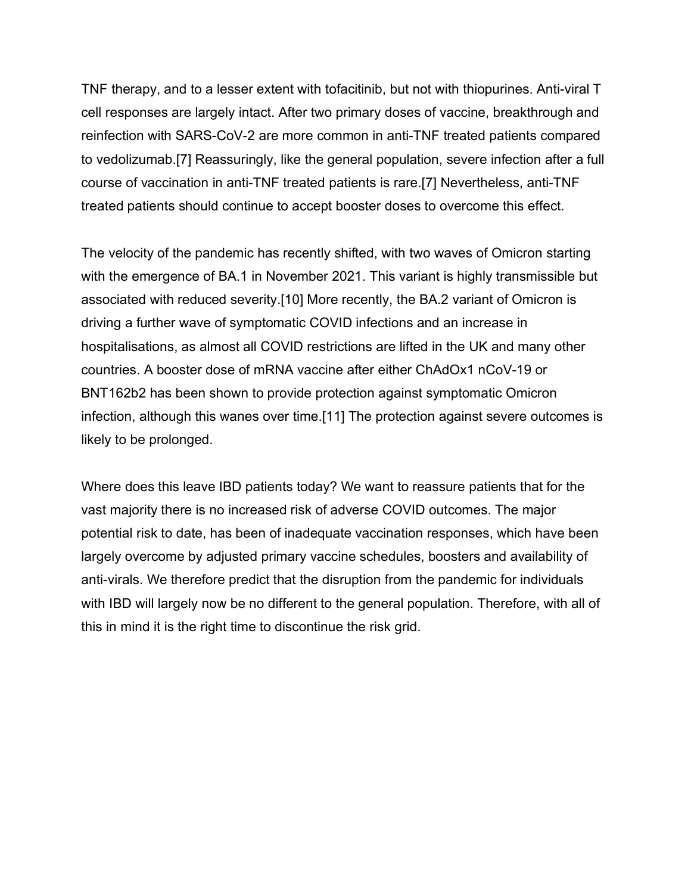TNF therapy, and to a lesser extent with tofacitinib, but not with thiopurines. Anti-viral T cell responses are largely intact. After two primary doses of vaccine, breakthrough and reinfection with SARS-CoV-2 are more common in anti-TNF treated patients compared to vedolizumab.[7] Reassuringly, like the general population, severe infection after a full course of vaccination in anti-TNF treated patients is rare.[7] Nevertheless, anti-TNF treated patients should continue to accept booster doses to overcome this effect.

The velocity of the pandemic has recently shifted, with two waves of Omicron starting with the emergence of BA.1 in November 2021. This variant is highly transmissible but associated with reduced severity[.\[10\]](https://paperpile.com/c/6Z4DPb/sSYK) More recently, the BA.2 variant of Omicron is driving a further wave of symptomatic COVID infections and an increase in hospitalisations, as almost all COVID restrictions are lifted in the UK and many other countries. A booster dose of mRNA vaccine after either ChAdOx1 nCoV-19 or BNT162b2 has been shown to provide protection against symptomatic Omicron infection, although this wanes over time[.\[11\]](https://paperpile.com/c/6Z4DPb/ioO6) The protection against severe outcomes is likely to be prolonged.

Where does this leave IBD patients today? We want to reassure patients that for the vast majority there is no increased risk of adverse COVID outcomes. The major potential risk to date, has been of inadequate vaccination responses, which have been largely overcome by adjusted primary vaccine schedules, boosters and availability of anti-virals. We therefore predict that the disruption from the pandemic for individuals with IBD will largely now be no different to the general population. Therefore, with all of this in mind it is the right time to discontinue the risk grid.